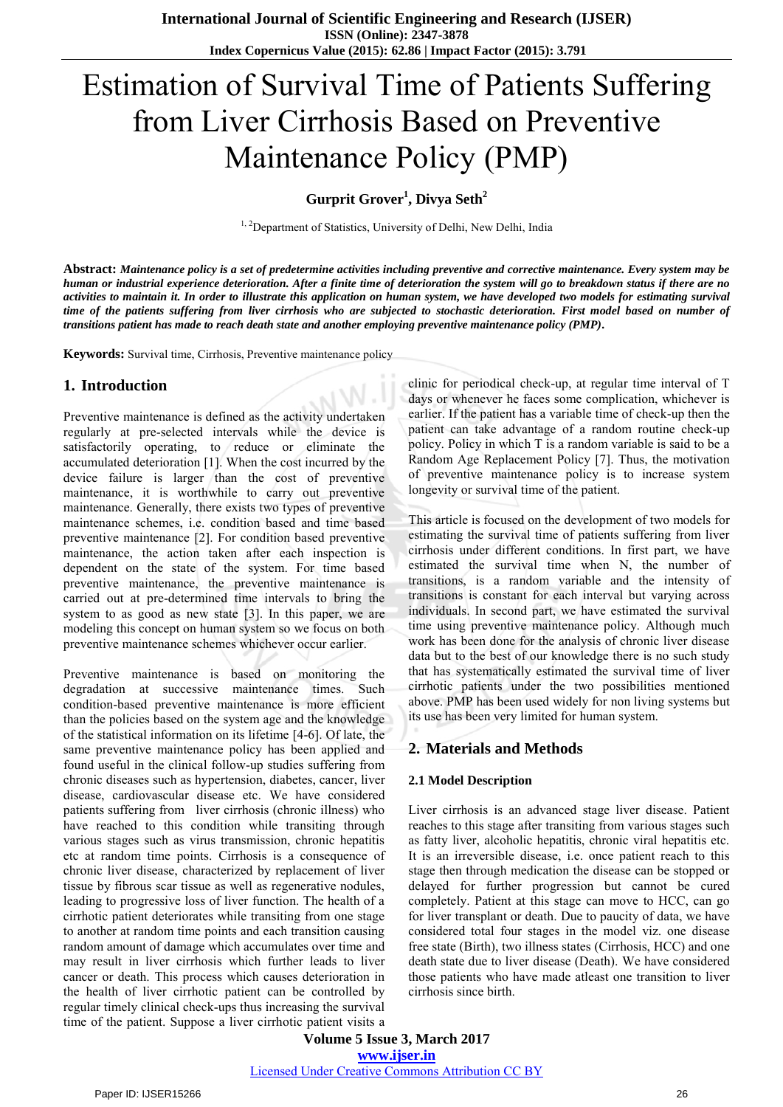# Estimation of Survival Time of Patients Suffering from Liver Cirrhosis Based on Preventive Maintenance Policy (PMP)

**Gurprit Grover<sup>1</sup> , Divya Seth<sup>2</sup>**

<sup>1, 2</sup>Department of Statistics, University of Delhi, New Delhi, India

**Abstract:** *Maintenance policy is a set of predetermine activities including preventive and corrective maintenance. Every system may be human or industrial experience deterioration. After a finite time of deterioration the system will go to breakdown status if there are no activities to maintain it. In order to illustrate this application on human system, we have developed two models for estimating survival time of the patients suffering from liver cirrhosis who are subjected to stochastic deterioration. First model based on number of transitions patient has made to reach death state and another employing preventive maintenance policy (PMP).* 

**Keywords:** Survival time, Cirrhosis, Preventive maintenance policy

## **1. Introduction**

Preventive maintenance is defined as the activity undertaken regularly at pre-selected intervals while the device is satisfactorily operating, to reduce or eliminate the accumulated deterioration [1]. When the cost incurred by the device failure is larger than the cost of preventive maintenance, it is worthwhile to carry out preventive maintenance. Generally, there exists two types of preventive maintenance schemes, i.e. condition based and time based preventive maintenance [2]. For condition based preventive maintenance, the action taken after each inspection is dependent on the state of the system. For time based preventive maintenance, the preventive maintenance is carried out at pre-determined time intervals to bring the system to as good as new state [3]. In this paper, we are modeling this concept on human system so we focus on both preventive maintenance schemes whichever occur earlier.

Preventive maintenance is based on monitoring the degradation at successive maintenance times. Such condition-based preventive maintenance is more efficient than the policies based on the system age and the knowledge of the statistical information on its lifetime [4-6]. Of late, the same preventive maintenance policy has been applied and found useful in the clinical follow-up studies suffering from chronic diseases such as hypertension, diabetes, cancer, liver disease, cardiovascular disease etc. We have considered patients suffering from liver cirrhosis (chronic illness) who have reached to this condition while transiting through various stages such as virus transmission, chronic hepatitis etc at random time points. Cirrhosis is a consequence of chronic liver disease, characterized by replacement of liver tissue by fibrous scar tissue as well as regenerative nodules, leading to progressive loss of liver function. The health of a cirrhotic patient deteriorates while transiting from one stage to another at random time points and each transition causing random amount of damage which accumulates over time and may result in liver cirrhosis which further leads to liver cancer or death. This process which causes deterioration in the health of liver cirrhotic patient can be controlled by regular timely clinical check-ups thus increasing the survival time of the patient. Suppose a liver cirrhotic patient visits a

clinic for periodical check-up, at regular time interval of T days or whenever he faces some complication, whichever is earlier. If the patient has a variable time of check-up then the patient can take advantage of a random routine check-up policy. Policy in which T is a random variable is said to be a Random Age Replacement Policy [7]. Thus, the motivation of preventive maintenance policy is to increase system longevity or survival time of the patient.

This article is focused on the development of two models for estimating the survival time of patients suffering from liver cirrhosis under different conditions. In first part, we have estimated the survival time when N, the number of transitions, is a random variable and the intensity of transitions is constant for each interval but varying across individuals. In second part, we have estimated the survival time using preventive maintenance policy. Although much work has been done for the analysis of chronic liver disease data but to the best of our knowledge there is no such study that has systematically estimated the survival time of liver cirrhotic patients under the two possibilities mentioned above. PMP has been used widely for non living systems but its use has been very limited for human system.

## **2. Materials and Methods**

#### **2.1 Model Description**

Liver cirrhosis is an advanced stage liver disease. Patient reaches to this stage after transiting from various stages such as fatty liver, alcoholic hepatitis, chronic viral hepatitis etc. It is an irreversible disease, i.e. once patient reach to this stage then through medication the disease can be stopped or delayed for further progression but cannot be cured completely. Patient at this stage can move to HCC, can go for liver transplant or death. Due to paucity of data, we have considered total four stages in the model viz. one disease free state (Birth), two illness states (Cirrhosis, HCC) and one death state due to liver disease (Death). We have considered those patients who have made atleast one transition to liver cirrhosis since birth.

**Volume 5 Issue 3, March 2017 www.ijser.in**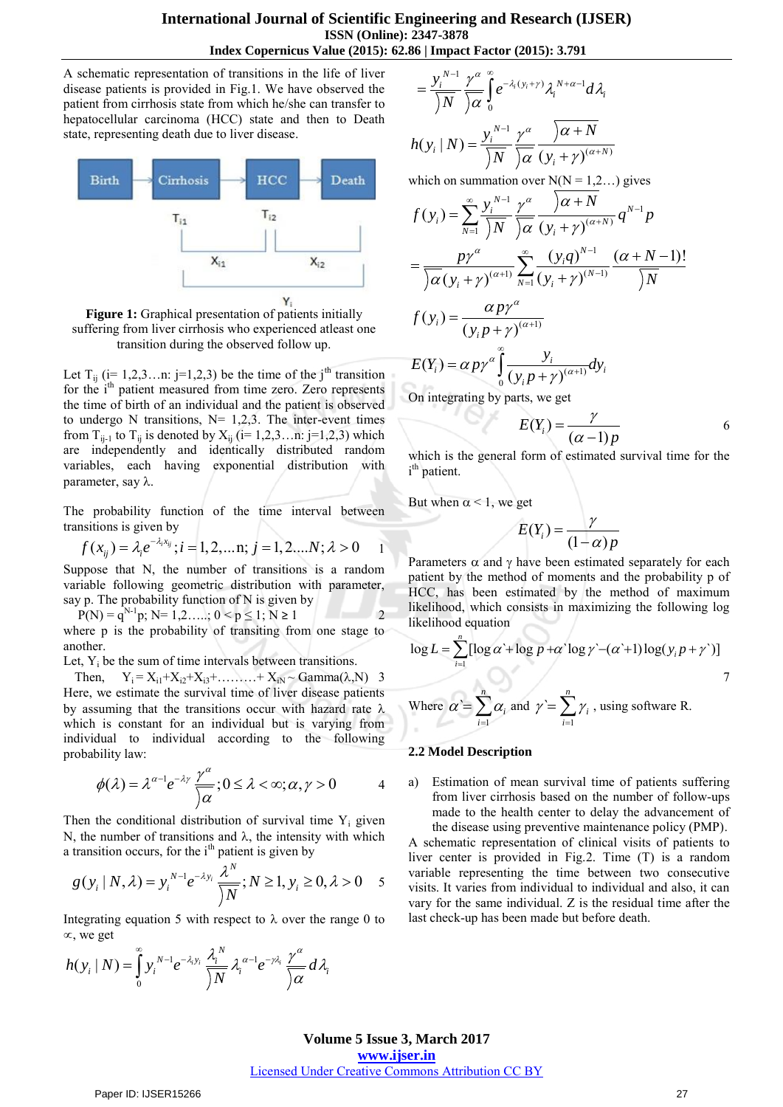### **International Journal of Scientific Engineering and Research (IJSER) ISSN (Online): 2347-3878 Index Copernicus Value (2015): 62.86 | Impact Factor (2015): 3.791**

A schematic representation of transitions in the life of liver disease patients is provided in Fig.1. We have observed the patient from cirrhosis state from which he/she can transfer to hepatocellular carcinoma (HCC) state and then to Death state, representing death due to liver disease.



**Figure 1:** Graphical presentation of patients initially suffering from liver cirrhosis who experienced atleast one transition during the observed follow up.

Let  $T_{ii}$  (i= 1,2,3…n: j=1,2,3) be the time of the j<sup>th</sup> transition for the i<sup>th</sup> patient measured from time zero. Zero represents the time of birth of an individual and the patient is observed to undergo N transitions,  $N= 1,2,3$ . The inter-event times from  $T_{ij-1}$  to  $T_{ij}$  is denoted by  $X_{ij}$  (i= 1,2,3...n: j=1,2,3) which are independently and identically distributed random variables, each having exponential distribution with parameter, say  $\lambda$ .

The probability function of the time interval between

transitions is given by  
\n
$$
f(x_{ij}) = \lambda_i e^{-\lambda_i x_{ij}}; i = 1, 2, ..., j = 1, 2, ..., N; \lambda > 0
$$

Suppose that N, the number of transitions is a random variable following geometric distribution with parameter, say p. The probability function of N is given by

 $P(N) = q^{N-1}p$ ;  $N= 1, 2, ..., 0 < p \le 1$ ;  $N \ge 1$  2 where p is the probability of transiting from one stage to another.

Let,  $Y_i$  be the sum of time intervals between transitions.

Then,  $Y_i = X_{i1} + X_{i2} + X_{i3} + \dots + X_{iN} \sim \text{Gamma}(\lambda, N)$  3 Here, we estimate the survival time of liver disease patients by assuming that the transitions occur with hazard rate  $\lambda$ which is constant for an individual but is varying from individual to individual according to the following probability law:

$$
\phi(\lambda) = \lambda^{\alpha-1} e^{-\lambda \gamma} \frac{\gamma^{\alpha}}{\alpha}; 0 \leq \lambda < \infty; \alpha, \gamma > 0
$$
 4

Then the conditional distribution of survival time  $Y_i$  given N, the number of transitions and  $\lambda$ , the intensity with which

a transition occurs, for the i<sup>th</sup> patient is given by  
\n
$$
g(y_i | N, \lambda) = y_i^{N-1} e^{-\lambda y_i} \frac{\lambda^N}{|N|} ; N \ge 1, y_i \ge 0, \lambda > 0
$$
 5

Integrating equation 5 with respect to  $\lambda$  over the range 0 to  $\infty$ , we get

$$
\alpha, \text{ we get}
$$

$$
h(y_i \mid N) = \int_{0}^{\infty} y_i^{N-1} e^{-\lambda_i y_i} \frac{\lambda_i^{N}}{\sqrt{N}} \lambda_i^{\alpha-1} e^{-\gamma \lambda_i} \frac{\gamma^{\alpha}}{\sqrt{\alpha}} d\lambda_i
$$

$$
=\frac{y_i^{N-1}}{\left(N\right)}\frac{\gamma^\alpha}{\left(\alpha\right)}\int_0^\infty e^{-\lambda_i(y_i+\gamma)}\lambda_i^{N+\alpha-1}d\lambda_i
$$

$$
h(y_i | N) = \frac{y_i^{N-1}}{\overline{N}} \frac{\gamma^{\alpha}}{\overline{\gamma \alpha}} \frac{\overline{\gamma^{\alpha}} + N}{(y_i + \gamma)^{(\alpha+N)}}
$$

which on summation over  $N(N = 1,2...)$  gives

$$
f(y_i) = \sum_{N=1}^{\infty} \frac{y_i^{N-1}}{N} \frac{\gamma^{\alpha}}{N} \frac{\overbrace{\gamma \alpha + N}}{(\gamma_i + \gamma)^{(\alpha+N)}} q^{N-1} p
$$
  
\n
$$
= \frac{p\gamma^{\alpha}}{\overbrace{\gamma \alpha}} \sum_{N=1}^{\infty} \frac{(y_i q)^{N-1}}{(y_i + \gamma)^{(N-1)}} \frac{(\alpha + N - 1)!}{N}
$$
  
\n
$$
f(y_i) = \frac{\alpha p\gamma^{\alpha}}{(y_i p + \gamma)^{(\alpha+1)}}
$$

 $\int_0^{\infty} \frac{\gamma_l}{(y_i p + \gamma)^{(\alpha+1)}} dt$  $(Y_i) = \alpha$  $\alpha'$ <sub>*i*</sub>) =  $\alpha p \gamma^{\alpha} \int_{0}^{b} \frac{y_i}{(y_i p + \gamma)^{(\alpha+1)}} dy_i$  $E(Y_i) = \alpha p \gamma^{\alpha} \int_{a}^{\infty} \frac{y_i}{(y_i - y_j + x)^{(\alpha+1)}} dy$  $\int_{0}^{\alpha} \int \frac{1}{(y_i p)}$  $=\alpha p\gamma^{\alpha}\int_{0}^{\infty}\frac{y_i}{(y_i p + \gamma)^{(\alpha+\gamma)}}$  $\int_{0}^{1} \frac{y}{(y_{i}p+1)}$ 

On integrating by parts, we get

$$
E(Y_i) = \frac{\gamma}{(\alpha - 1)p} \tag{6}
$$

which is the general form of estimated survival time for the i<sup>th</sup> patient.

But when  $\alpha$  < 1, we get

$$
E(Y_i) = \frac{\gamma}{(1-\alpha)p}
$$

Parameters  $\alpha$  and  $\gamma$  have been estimated separately for each patient by the method of moments and the probability p of HCC, has been estimated by the method of maximum likelihood, which consists in maximizing the following log likelihood equation

likelihood equation  
\n
$$
\log L = \sum_{i=1}^{n} [\log \alpha + \log p + \alpha' \log \gamma - (\alpha' + 1) \log(y_i p + \gamma')] \qquad (2.5)
$$
\nWhere  $\alpha' = \sum_{i=1}^{n} \alpha_i$  and  $\gamma' = \sum_{i=1}^{n} \gamma_i$ , using software R.

#### **2.2 Model Description**

a) Estimation of mean survival time of patients suffering from liver cirrhosis based on the number of follow-ups made to the health center to delay the advancement of the disease using preventive maintenance policy (PMP).

A schematic representation of clinical visits of patients to liver center is provided in Fig.2. Time (T) is a random variable representing the time between two consecutive visits. It varies from individual to individual and also, it can vary for the same individual. Z is the residual time after the last check-up has been made but before death.

### **Volume 5 Issue 3, March 2017 www.ijser.in** Licensed Under Creative Commons Attribution CC BY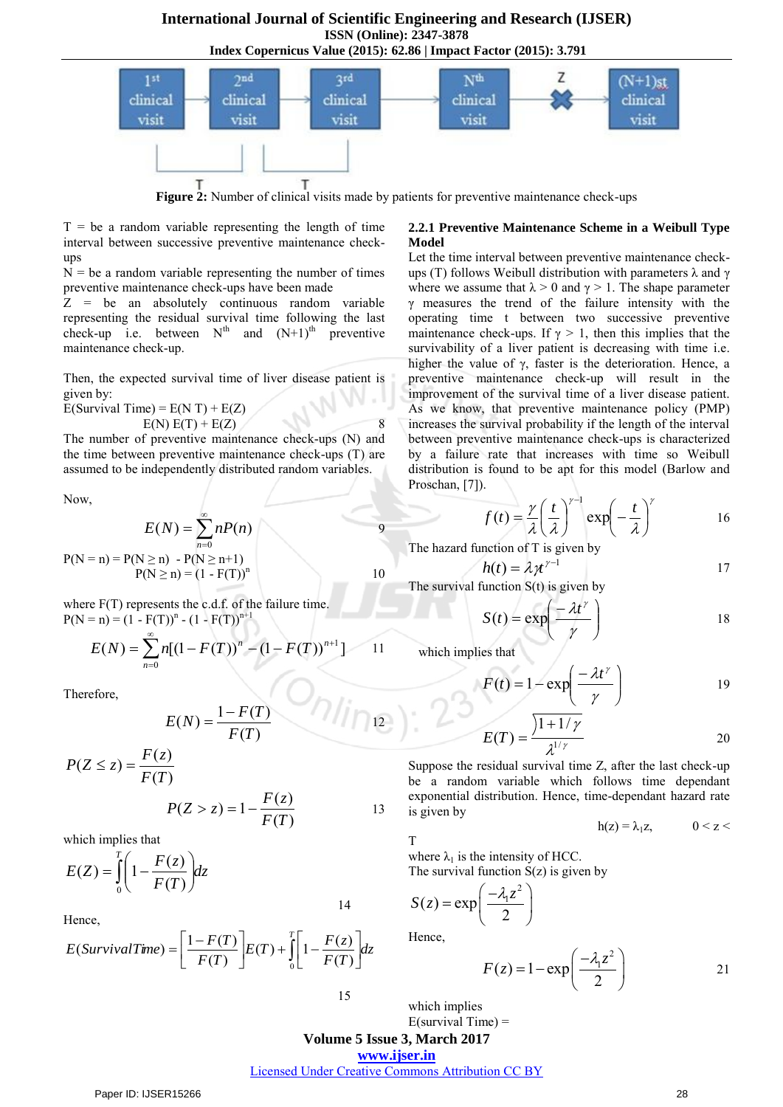**International Journal of Scientific Engineering and Research (IJSER) ISSN (Online): 2347-3878 Index Copernicus Value (2015): 62.86 | Impact Factor (2015): 3.791**



**Figure 2:** Number of clinical visits made by patients for preventive maintenance check-ups

 $T = be a random variable representing the length of time$ interval between successive preventive maintenance checkups

 $N =$  be a random variable representing the number of times preventive maintenance check-ups have been made

Z = be an absolutely continuous random variable representing the residual survival time following the last check-up i.e. between  $N^{th}$  and  $(N+1)^{th}$  preventive maintenance check-up.

Then, the expected survival time of liver disease patient is given by:

 $E(Survival Time) = E(N T) + E(Z)$ 

$$
E(N) E(T) + E(Z)
$$
 8

The number of preventive maintenance check-ups (N) and the time between preventive maintenance check-ups (T) are assumed to be independently distributed random variables.

Now,

$$
E(N) = \sum_{n=0}^{\infty} nP(n)
$$
  
P(N = n) = P(N \ge n) - P(N \ge n+1)  
P(N \ge n) = (1 - F(T))<sup>n</sup> 10

where  $F(T)$  represents the c.d.f. of the failure time.  $P(N = n) = (1 - F(T))^{n} - (1 - F(T))^{n+1}$ 

$$
E(N) = \sum_{n=0}^{\infty} n [(1 - F(T))^{n} - (1 - F(T))^{n+1}] \qquad 11
$$

Therefore,

$$
E(N) = \frac{1 - F(T)}{F(T)}
$$
 12

$$
P(Z \le z) = \frac{F(z)}{F(T)}
$$
  
 
$$
P(Z > z) = 1 - \frac{F(z)}{F(T)}
$$
 13

which implies that

$$
E(Z) = \int_{0}^{T} \left(1 - \frac{F(z)}{F(T)}\right) dz
$$

Hence,

$$
E(SurvivalTime) = \left[\frac{1 - F(T)}{F(T)}\right]E(T) + \int_{0}^{T} \left[1 - \frac{F(z)}{F(T)}\right]dz
$$

**2.2.1 Preventive Maintenance Scheme in a Weibull Type Model** 

Let the time interval between preventive maintenance checkups (T) follows Weibull distribution with parameters  $\lambda$  and  $\gamma$ where we assume that  $\lambda > 0$  and  $\gamma > 1$ . The shape parameter γ measures the trend of the failure intensity with the operating time t between two successive preventive maintenance check-ups. If  $\gamma > 1$ , then this implies that the survivability of a liver patient is decreasing with time i.e. higher the value of γ, faster is the deterioration. Hence, a preventive maintenance check-up will result in the improvement of the survival time of a liver disease patient. As we know, that preventive maintenance policy (PMP) increases the survival probability if the length of the interval between preventive maintenance check-ups is characterized by a failure rate that increases with time so Weibull distribution is found to be apt for this model (Barlow and Proschan, [7]).

$$
f(t) = \frac{\gamma}{\lambda} \left(\frac{t}{\lambda}\right)^{\gamma - 1} \exp\left(-\frac{t}{\lambda}\right)^{\gamma}
$$
 16

The hazard function of T is given by

$$
h(t) = \lambda \gamma t^{\gamma - 1}
$$

The survival function  $S(t)$  is given by

$$
S(t) = \exp\left(\frac{-\lambda t^{\gamma}}{\gamma}\right)
$$
 18

which implies that

$$
F(t) = 1 - \exp\left(\frac{-\lambda t^{\gamma}}{\gamma}\right)
$$
 19

$$
E(T) = \frac{\sqrt{1+1/\gamma}}{\lambda^{1/\gamma}}
$$
 20

Suppose the residual survival time Z, after the last check-up be a random variable which follows time dependant exponential distribution. Hence, time-dependant hazard rate is given by

$$
h(z) = \lambda_1 z, \qquad 0 < z < \lambda
$$

T

where  $\lambda_1$  is the intensity of HCC.

The survival function  $S(z)$  is given by

$$
S(z) = \exp\left(\frac{-\lambda_1 z^2}{2}\right)
$$
  
Hence,

$$
F(z) = 1 - \exp\left(\frac{-\lambda_1 z^2}{2}\right)
$$
 21

15

 $E$ (survival Time) =

which implies

## **Volume 5 Issue 3, March 2017**

**www.ijser.in**

Licensed Under Creative Commons Attribution CC BY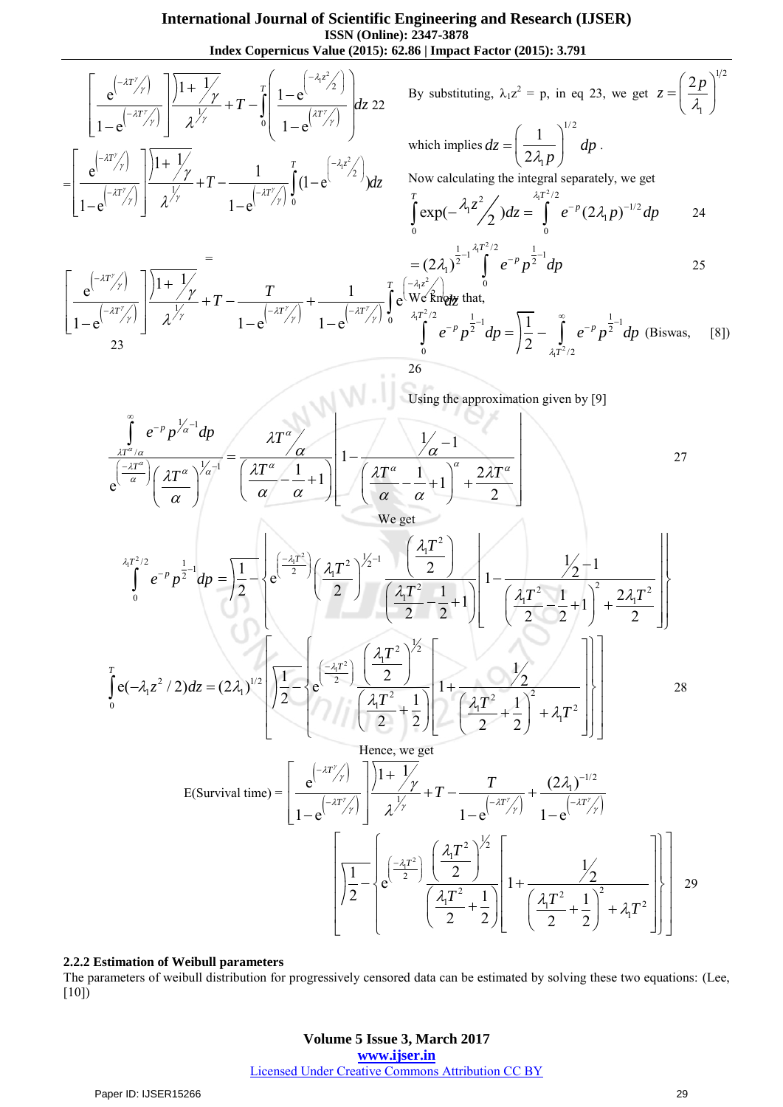$$
\frac{\text{Index Copernicus Valsue (2015): 62.86 \text{ (Imper factor (2015): 3.791}}{\left[\frac{e^{(-2t^2/3)}}{1-e^{(-2t^2/3)}}\right] \frac{11+\sqrt{y}}{\lambda^{1/2}}+T-\int_{0}^{x} \left[\frac{1-e^{(-2t^2/3)}}{1-e^{(-2t^2/3)}}\right] dz \quad 22 \quad \text{By substituting, } \lambda_1 z^2 = p, \text{ in eq 23, we get } z = \left(\frac{2p}{\lambda_1}\right)^{1/2}
$$
\n
$$
-\left[\frac{e^{(-2t^2/3)}}{1-e^{(-2t^2/3)}}\right] \frac{11+\sqrt{y}}{\lambda^{1/2}}+T-\frac{1}{1-e^{(-2t^2/3)}}\int_{0}^{x} (1-e^{(-2t^2/3)}) dz \quad \text{Now calculating the integrals separately, we get}
$$
\n
$$
\int_{0}^{x} \exp(-\lambda_z z^2/2) dz = \int_{0}^{x} e^{-x} (2\lambda_1 p)^{-1/2} dp
$$
\n
$$
\frac{\left[e^{(-x^2/3)}\right] \frac{11+\sqrt{y}}{\lambda^{1/2}}+T-\frac{T}{1-e^{(-2t^2/3)}}\int_{0}^{x} (1-e^{(-2t^2/3)}) dz -\int_{0}^{x} (1-e^{(-2t^2/3})) dz -\int_{0}^{x} (1-e^{(-2t^2/3})) dz -\int_{0}^{x} (1-e^{(-2t^2/3})) dz -\int_{0}^{x} (1-e^{(-2t^2/3})) dz -\int_{0}^{x} (1-e^{(-2t^2/3})) dz -\int_{0}^{x} (1-e^{(-2t^2/3})) dz -\int_{0}^{x} (1-e^{(-2t^2/3})) dz -\int_{0}^{x} (1-e^{(-2t^2/3})) dz -\int_{0}^{x} (1-e^{(-2t^2/3})) dz -\int_{0}^{x} (1-e^{(-2t^2/3})) dz -\int_{0}^{x} (1-e^{(-2t^2/3})) dz -\int_{0}^{x} (1-e^{(-2t^2/3})) dz -\int_{0}^{x} (1-e^{(-2t^2/3})) dz -\int_{0}^{x} (1-e^{(-2t^2/3})) dz -\int_{0}^{x} (1-e^{
$$

#### **2.2.2 Estimation of Weibull parameters**

The parameters of weibull distribution for progressively censored data can be estimated by solving these two equations: (Lee, [10])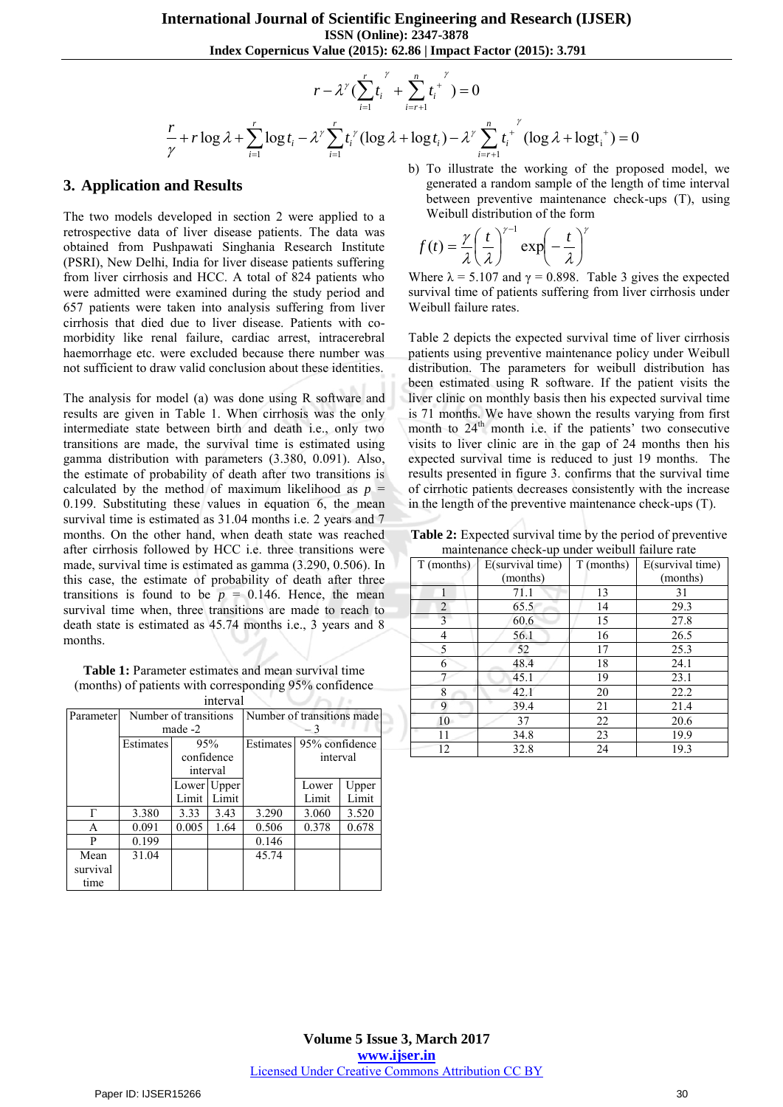Index Copernicus Value (2015): 62.86 | Impact Factor (2015): 3.791  
\n
$$
r - \lambda^{\gamma} \Big( \sum_{i=1}^{r} t_i^{\gamma} + \sum_{i=r+1}^{n} t_i^{\gamma} \Big) = 0
$$
\n
$$
\frac{r}{\gamma} + r \log \lambda + \sum_{i=1}^{r} \log t_i - \lambda^{\gamma} \sum_{i=1}^{r} t_i^{\gamma} (\log \lambda + \log t_i) - \lambda^{\gamma} \sum_{i=r+1}^{n} t_i^{\gamma} (\log \lambda + \log t_i^+) = 0
$$

### **3. Application and Results**

The two models developed in section 2 were applied to a retrospective data of liver disease patients. The data was obtained from Pushpawati Singhania Research Institute (PSRI), New Delhi, India for liver disease patients suffering from liver cirrhosis and HCC. A total of 824 patients who were admitted were examined during the study period and 657 patients were taken into analysis suffering from liver cirrhosis that died due to liver disease. Patients with comorbidity like renal failure, cardiac arrest, intracerebral haemorrhage etc. were excluded because there number was not sufficient to draw valid conclusion about these identities.

The analysis for model (a) was done using R software and results are given in Table 1. When cirrhosis was the only intermediate state between birth and death i.e., only two transitions are made, the survival time is estimated using gamma distribution with parameters (3.380, 0.091). Also, the estimate of probability of death after two transitions is calculated by the method of maximum likelihood as  $p =$ 0.199. Substituting these values in equation 6, the mean survival time is estimated as  $31.04$  months i.e. 2 years and 7 months. On the other hand, when death state was reached after cirrhosis followed by HCC i.e. three transitions were made, survival time is estimated as gamma (3.290, 0.506). In this case, the estimate of probability of death after three transitions is found to be  $p = 0.146$ . Hence, the mean survival time when, three transitions are made to reach to death state is estimated as 45.74 months i.e., 3 years and 8 months.

**Table 1:** Parameter estimates and mean survival time (months) of patients with corresponding 95% confidence interval

| IIItu val |                       |            |             |                            |                          |       |  |
|-----------|-----------------------|------------|-------------|----------------------------|--------------------------|-------|--|
| Parameter | Number of transitions |            |             | Number of transitions made |                          |       |  |
|           | made -2               |            |             |                            |                          |       |  |
|           | Estimates             | 95%        |             |                            | Estimates 95% confidence |       |  |
|           |                       | confidence |             |                            | interval                 |       |  |
|           |                       | interval   |             |                            |                          |       |  |
|           |                       |            | Lower Upper |                            | Lower                    | Upper |  |
|           |                       | Limit      | Limit       |                            | Limit                    | Limit |  |
| Г         | 3.380                 | 3.33       | 3.43        | 3.290                      | 3.060                    | 3.520 |  |
| A         | 0.091                 | 0.005      | 1.64        | 0.506                      | 0.378                    | 0.678 |  |
| P         | 0.199                 |            |             | 0.146                      |                          |       |  |
| Mean      | 31.04                 |            |             | 45.74                      |                          |       |  |
| survival  |                       |            |             |                            |                          |       |  |
| time      |                       |            |             |                            |                          |       |  |

b) To illustrate the working of the proposed model, we generated a random sample of the length of time interval between preventive maintenance check-ups (T), using Weibull distribution of the form

$$
f(t) = \frac{\gamma}{\lambda} \left(\frac{t}{\lambda}\right)^{\gamma-1} \exp\left(-\frac{t}{\lambda}\right)^{\gamma}
$$

Where  $\lambda = 5.107$  and  $\gamma = 0.898$ . Table 3 gives the expected survival time of patients suffering from liver cirrhosis under Weibull failure rates.

Table 2 depicts the expected survival time of liver cirrhosis patients using preventive maintenance policy under Weibull distribution. The parameters for weibull distribution has been estimated using R software. If the patient visits the liver clinic on monthly basis then his expected survival time is 71 months. We have shown the results varying from first month to  $24<sup>th</sup>$  month i.e. if the patients' two consecutive visits to liver clinic are in the gap of 24 months then his expected survival time is reduced to just 19 months. The results presented in figure 3. confirms that the survival time of cirrhotic patients decreases consistently with the increase in the length of the preventive maintenance check-ups (T).

**Table 2:** Expected survival time by the period of preventive maintenance check-up under weibull failure rate

| T (months) | E(survival time) | T (months) | E(survival time) |  |
|------------|------------------|------------|------------------|--|
|            | (months)         |            | (months)         |  |
|            | 71.1             | 13         | 31               |  |
| 2          | 65.5             | 14         | 29.3             |  |
| 3          | 60.6             | 15         | 27.8             |  |
| 4          | 56.1             | 16         | 26.5             |  |
| 5          | 52               | 17         | 25.3             |  |
| 6          | 48.4             | 18         | 24.1             |  |
|            | 45.1             | 19         | 23.1             |  |
| 8          | 42.1             | 20         | 22.2             |  |
| 9          | 39.4             | 21         | 21.4             |  |
| 10         | 37               | 22         | 20.6             |  |
| 11         | 34.8             | 23         | 19.9             |  |
| 12         | 32.8             | 24         | 19.3             |  |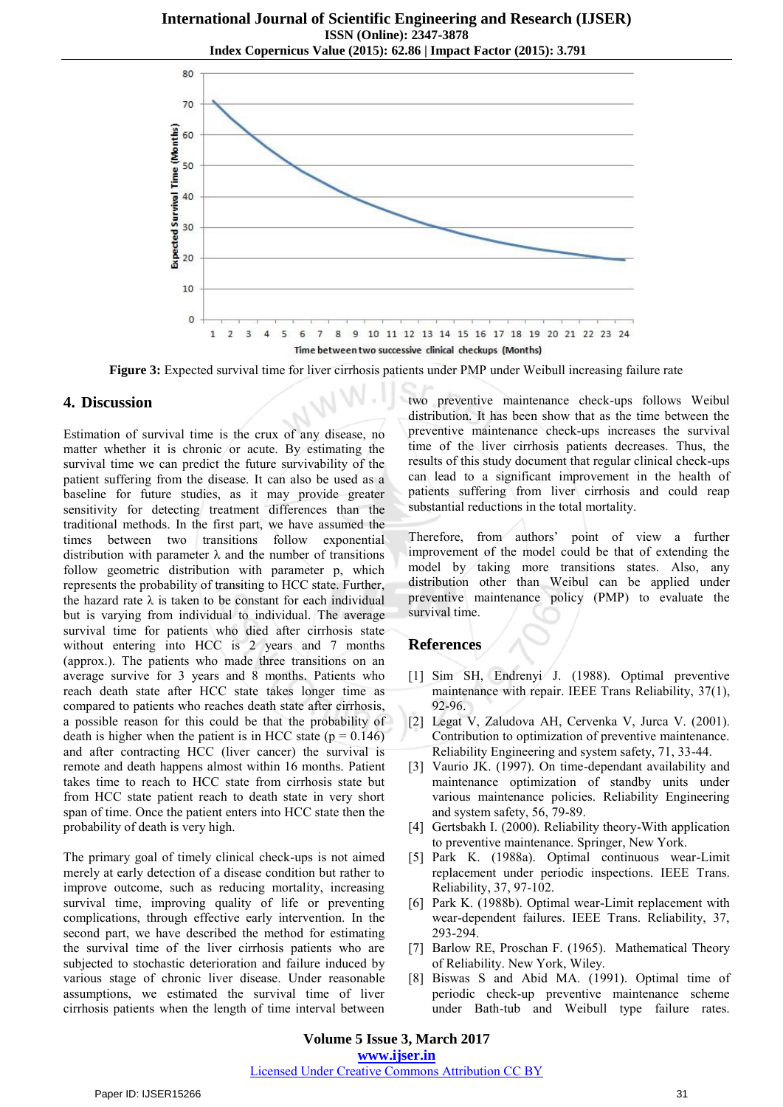

**Figure 3:** Expected survival time for liver cirrhosis patients under PMP under Weibull increasing failure rate

## **4. Discussion**

Estimation of survival time is the crux of any disease, no matter whether it is chronic or acute. By estimating the survival time we can predict the future survivability of the patient suffering from the disease. It can also be used as a baseline for future studies, as it may provide greater sensitivity for detecting treatment differences than the traditional methods. In the first part, we have assumed the times between two transitions follow exponential distribution with parameter  $\lambda$  and the number of transitions follow geometric distribution with parameter p, which represents the probability of transiting to HCC state. Further, the hazard rate  $\lambda$  is taken to be constant for each individual but is varying from individual to individual. The average survival time for patients who died after cirrhosis state without entering into HCC is 2 years and 7 months (approx.). The patients who made three transitions on an average survive for 3 years and 8 months. Patients who reach death state after HCC state takes longer time as compared to patients who reaches death state after cirrhosis, a possible reason for this could be that the probability of death is higher when the patient is in HCC state  $(p = 0.146)$ and after contracting HCC (liver cancer) the survival is remote and death happens almost within 16 months. Patient takes time to reach to HCC state from cirrhosis state but from HCC state patient reach to death state in very short span of time. Once the patient enters into HCC state then the probability of death is very high.

The primary goal of timely clinical check-ups is not aimed merely at early detection of a disease condition but rather to improve outcome, such as reducing mortality, increasing survival time, improving quality of life or preventing complications, through effective early intervention. In the second part, we have described the method for estimating the survival time of the liver cirrhosis patients who are subjected to stochastic deterioration and failure induced by various stage of chronic liver disease. Under reasonable assumptions, we estimated the survival time of liver cirrhosis patients when the length of time interval between two preventive maintenance check-ups follows Weibul distribution. It has been show that as the time between the preventive maintenance check-ups increases the survival time of the liver cirrhosis patients decreases. Thus, the results of this study document that regular clinical check-ups can lead to a significant improvement in the health of patients suffering from liver cirrhosis and could reap substantial reductions in the total mortality.

ì Therefore, from authors' point of view a further improvement of the model could be that of extending the model by taking more transitions states. Also, any distribution other than Weibul can be applied under preventive maintenance policy (PMP) to evaluate the survival time.

## **References**

- [1] Sim SH, Endrenyi J. (1988). Optimal preventive maintenance with repair. IEEE Trans Reliability, 37(1), 92-96.
- [2] Legat V, Zaludova AH, Cervenka V, Jurca V. (2001). Contribution to optimization of preventive maintenance. Reliability Engineering and system safety, 71, 33-44.
- [3] Vaurio JK. (1997). On time-dependant availability and maintenance optimization of standby units under various maintenance policies. Reliability Engineering and system safety, 56, 79-89.
- [4] Gertsbakh I. (2000). Reliability theory-With application to preventive maintenance. Springer, New York.
- [5] Park K. (1988a). Optimal continuous wear-Limit replacement under periodic inspections. IEEE Trans. Reliability, 37, 97-102.
- [6] Park K. (1988b). Optimal wear-Limit replacement with wear-dependent failures. IEEE Trans. Reliability, 37, 293-294.
- [7] Barlow RE, Proschan F. (1965). Mathematical Theory of Reliability. New York, Wiley.
- [8] Biswas S and Abid MA. (1991). Optimal time of periodic check-up preventive maintenance scheme under Bath-tub and Weibull type failure rates.